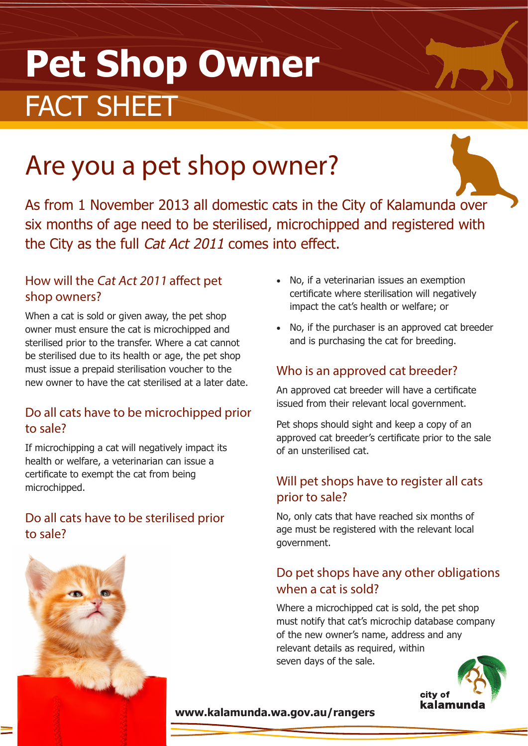# **Pet Shop Owner** FACT SHEET

## Are you a pet shop owner?

As from 1 November 2013 all domestic cats in the City of Kalamunda over six months of age need to be sterilised, microchipped and registered with the City as the full Cat Act 2011 comes into effect.

#### How will the Cat Act 2011 affect pet shop owners?

When a cat is sold or given away, the pet shop owner must ensure the cat is microchipped and sterilised prior to the transfer. Where a cat cannot be sterilised due to its health or age, the pet shop must issue a prepaid sterilisation voucher to the new owner to have the cat sterilised at a later date.

#### Do all cats have to be microchipped prior to sale?

If microchipping a cat will negatively impact its health or welfare, a veterinarian can issue a certificate to exempt the cat from being microchipped.

#### Do all cats have to be sterilised prior to sale?

- No, if a veterinarian issues an exemption certificate where sterilisation will negatively impact the cat's health or welfare; or
- No, if the purchaser is an approved cat breeder and is purchasing the cat for breeding.

#### Who is an approved cat breeder?

An approved cat breeder will have a certificate issued from their relevant local government.

Pet shops should sight and keep a copy of an approved cat breeder's certificate prior to the sale of an unsterilised cat.

#### Will pet shops have to register all cats prior to sale?

No, only cats that have reached six months of age must be registered with the relevant local government.

#### Do pet shops have any other obligations when a cat is sold?

Where a microchipped cat is sold, the pet shop must notify that cat's microchip database company of the new owner's name, address and any relevant details as required, within seven days of the sale.



#### **www.kalamunda.wa.gov.au/rangers**